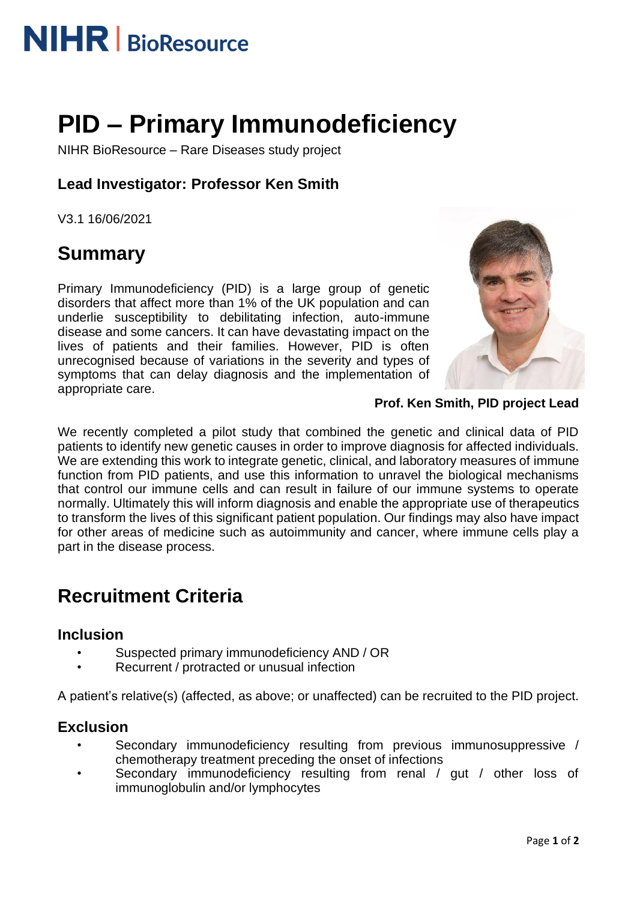

# **PID – Primary Immunodeficiency**

NIHR BioResource – Rare Diseases study project

### **Lead Investigator: Professor Ken Smith**

V3.1 16/06/2021

### **Summary**

Primary Immunodeficiency (PID) is a large group of genetic disorders that affect more than 1% of the UK population and can underlie susceptibility to debilitating infection, auto-immune disease and some cancers. It can have devastating impact on the lives of patients and their families. However, PID is often unrecognised because of variations in the severity and types of symptoms that can delay diagnosis and the implementation of appropriate care.



**Prof. Ken Smith, PID project Lead**

We recently completed a pilot study that combined the genetic and clinical data of PID patients to identify new genetic causes in order to improve diagnosis for affected individuals. We are extending this work to integrate genetic, clinical, and laboratory measures of immune function from PID patients, and use this information to unravel the biological mechanisms that control our immune cells and can result in failure of our immune systems to operate normally. Ultimately this will inform diagnosis and enable the appropriate use of therapeutics to transform the lives of this significant patient population. Our findings may also have impact for other areas of medicine such as autoimmunity and cancer, where immune cells play a part in the disease process.

## **Recruitment Criteria**

#### **Inclusion**

- Suspected primary immunodeficiency AND / OR
- Recurrent / protracted or unusual infection

A patient's relative(s) (affected, as above; or unaffected) can be recruited to the PID project.

#### **Exclusion**

- Secondary immunodeficiency resulting from previous immunosuppressive / chemotherapy treatment preceding the onset of infections
- Secondary immunodeficiency resulting from renal / gut / other loss of immunoglobulin and/or lymphocytes